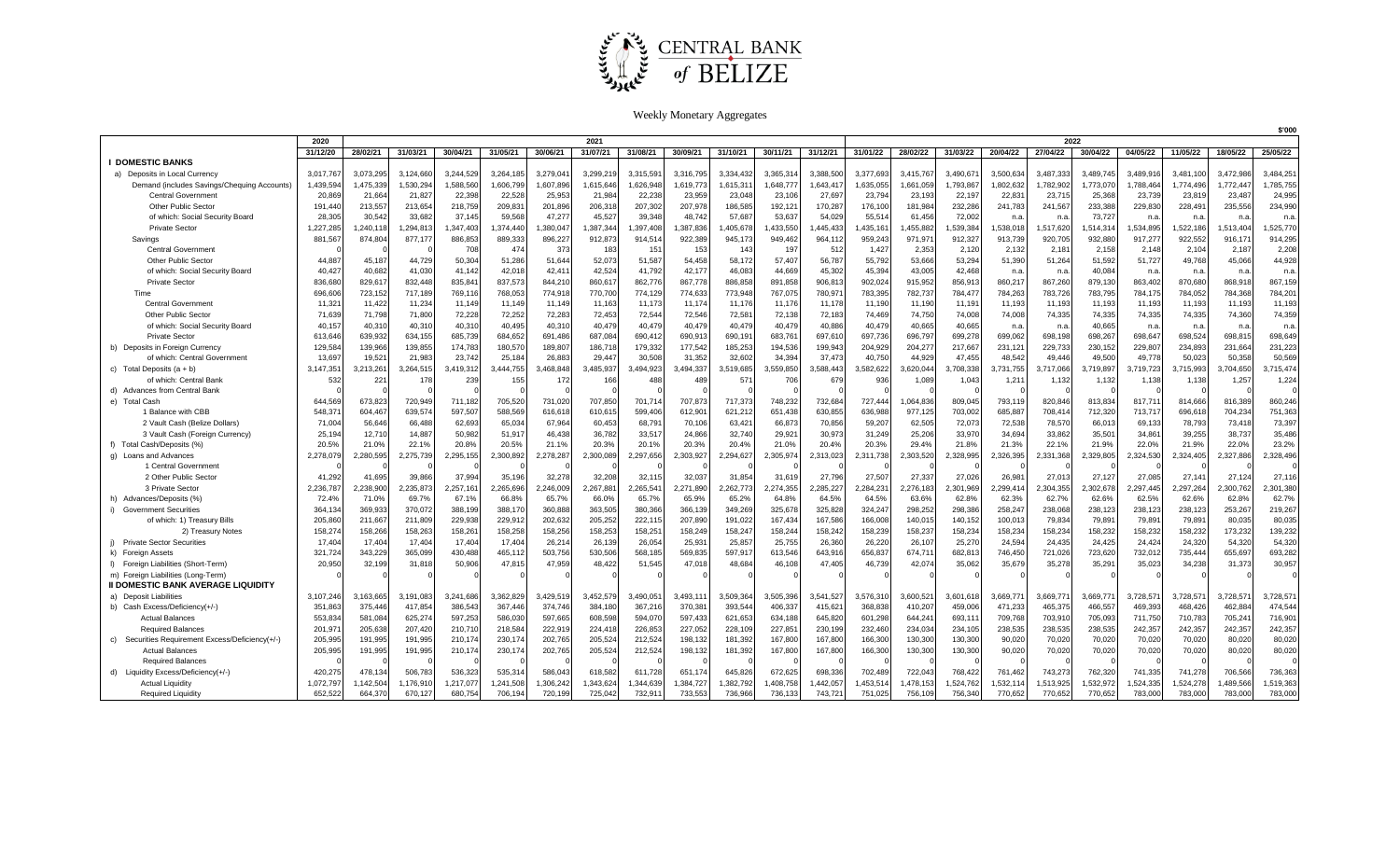

Weekly Monetary Aggregates

|                                                 |           |           |           |           |           |                 |           |           |           |           |           | \$'000    |           |           |           |           |           |           |           |           |           |           |
|-------------------------------------------------|-----------|-----------|-----------|-----------|-----------|-----------------|-----------|-----------|-----------|-----------|-----------|-----------|-----------|-----------|-----------|-----------|-----------|-----------|-----------|-----------|-----------|-----------|
|                                                 | 2020      | 2021      |           |           |           |                 |           |           |           |           |           | 2022      |           |           |           |           |           |           |           |           |           |           |
|                                                 | 31/12/20  | 28/02/21  | 31/03/21  | 30/04/21  | 31/05/21  | 30/06/21        | 31/07/21  | 31/08/21  | 30/09/21  | 31/10/21  | 30/11/21  | 31/12/21  | 31/01/22  | 28/02/22  | 31/03/22  | 20/04/22  | 27/04/22  | 30/04/22  | 04/05/22  | 11/05/22  | 18/05/22  | 25/05/22  |
| <b>I DOMESTIC BANKS</b>                         |           |           |           |           |           |                 |           |           |           |           |           |           |           |           |           |           |           |           |           |           |           |           |
| a) Deposits in Local Currency                   | 3,017,767 | 3.073.295 | 3,124,66  | 3,244,529 | 3.264.18  | 3,279,04        | 3,299,21  | 3,315,59  | 3.316.795 | 3,334,43  | 3,365,31  | 3,388,50  | 3,377,69  | 3.415.767 | 3,490,67  | 3,500,63  | 3.487.33  | 3,489,745 | 3.489.91  | 3.481.10  | 3.472.986 | 3,484,25  |
| Demand (includes Savings/Chequing Accounts)     | 1,439,59  | 1,475,339 | 1,530,29  | 1,588,560 | 1,606,799 | 1,607,89        | 1,615,64  | 1,626,948 | 1,619,77  | 1,615,31  | 1,648,777 | 1,643,41  | 1,635,055 | 1,661,059 | 1,793,867 | 1,802,632 | 1,782,90  | 1,773,070 | 1,788,46  | 1,774,49  | 1,772,447 | 1,785,755 |
| <b>Central Government</b>                       | 20,86     | 21,664    | 21,827    | 22,398    | 22,528    | 25,953          | 21,984    | 22,238    | 23,95     | 23,048    | 23,10     | 27,697    | 23,794    | 23,193    | 22,197    | 22,83'    | 23,71     | 25,368    | 23,73     | 23,81     | 23,487    | 24,995    |
| Other Public Sector                             | 191.44    | 213.557   | 213,65    | 218,759   | 209,83    | 201,896         | 206,318   | 207,302   | 207.978   | 186,585   | 192,121   | 170,287   | 176,100   | 181,984   | 232,286   | 241,783   | 241,567   | 233,388   | 229,830   | 228,49    | 235,556   | 234,990   |
| of which: Social Security Board                 | 28.30     | 30.542    | 33,682    | 37.145    | 59,568    | 47,277          | 45,527    | 39.348    | 48.742    | 57.687    | 53,637    | 54,029    | 55,51     | 61.456    | 72,002    | n.a       | n.a       | 73,727    | n.a       | n.a       | n.a       | n.a       |
| <b>Private Sector</b>                           | 1,227,28  | 1,240,118 | 1,294,813 | 1,347,403 | 1,374,440 | ,380,047        | 1,387,344 | 1,397,408 | 1,387,836 | ,405,678  | ,433,550  | ,445,433  | ,435,161  | 1,455,882 | 1,539,384 | ,538,018  | 1,517,620 | ,514,314  | ,534,89   | 1,522,186 | 1,513,404 | 1,525,770 |
| Savings                                         | 881,567   | 874,804   | 877,17    | 886,853   | 889,333   | 896,227         | 912,873   | 914,514   | 922,389   | 945,173   | 949,462   | 964,11    | 959,243   | 971,97    | 912,327   | 913,739   | 920,705   | 932,880   | 917,277   | 922,552   | 916, 17'  | 914,295   |
| Central Government                              |           |           |           | 708       | 474       | 37 <sup>2</sup> | 183       | 151       | 153       | 143       | 197       | 512       | 1,427     | 2,353     | 2,120     | 2,132     | 2,18      | 2,158     | 2,148     | 2,10      | 2,187     | 2,208     |
| Other Public Sector                             | 44,88     | 45,187    | 44,729    | 50,304    | 51,286    | 51,644          | 52,073    | 51,587    | 54,458    | 58,172    | 57,407    | 56,787    | 55,792    | 53,666    | 53,294    | 51,390    | 51,264    | 51,592    | 51,727    | 49,768    | 45,066    | 44,928    |
| of which: Social Security Board                 | 40,427    | 40.682    | 41,030    | 41,142    | 42,018    | 42,41           | 42,524    | 41,792    | 42,177    | 46,083    | 44,669    | 45,302    | 45,394    | 43,005    | 42,468    | n.a       | n.a       | 40,084    | n.a       | n.a       | n.a       | n.a       |
| <b>Private Sector</b>                           | 836,68    | 829.617   | 832,448   | 835,84    | 837,573   | 844,21          | 860,61    | 862,776   | 867.778   | 886,858   | 891,858   | 906,813   | 902,024   | 915,952   | 856,913   | 860,217   | 867,260   | 879,130   | 863,402   | 870.680   | 868.918   | 867,159   |
| Time                                            | 696,60    | 723,152   | 717,189   | 769,11    | 768,053   | 774,918         | 770,700   | 774,129   | 774,633   | 773,948   | 767,075   | 780,97    | 783,395   | 782,737   | 784,477   | 784,263   | 783,726   | 783,795   | 784,17    | 784,052   | 784,368   | 784,201   |
| Central Government                              | 11,32     | 11,422    | 11,234    | 11,149    | 11,149    | 11,149          | 11,163    | 11,173    | 11,17     | 11,17     | 11,176    | 11,178    | 11,190    | 11,190    | 11,19'    | 11,193    | 11,193    | 11,193    | 11,193    | 11,193    | 11,193    | 11,193    |
| Other Public Sector                             | 71,63     | 71.798    | 71,800    | 72,228    | 72,252    | 72,283          | 72,453    | 72,544    | 72,546    | 72,581    | 72,138    | 72,183    | 74,469    | 74,750    | 74,008    | 74,008    | 74,335    | 74,335    | 74,335    | 74,335    | 74,360    | 74,359    |
| of which: Social Security Board                 | 40,157    | 40,310    | 40,31     | 40,310    | 40,495    | 40,310          | 40,479    | 40,479    | 40,479    | 40,479    | 40,479    | 40,886    | 40,479    | 40,665    | 40,665    | n.a       | n.a       | 40,665    | n.a       | n.a       | n.a       | n.a       |
| <b>Private Sector</b>                           | 613,646   | 639,932   | 634,155   | 685,739   | 684,652   | 691,486         | 687,084   | 690,412   | 690,913   | 690,191   | 683,761   | 697,610   | 697,736   | 696,797   | 699,278   | 699,062   | 698,198   | 698,267   | 698,647   | 698,52    | 698,815   | 698,649   |
| b) Deposits in Foreign Currency                 | 129.584   | 139.966   | 139,855   | 174,783   | 180,570   | 189,807         | 186,718   | 179,332   | 177,542   | 185,253   | 194,536   | 199,943   | 204,929   | 204.277   | 217,667   | 231,12    | 229,733   | 230,152   | 229,807   | 234,893   | 231,664   | 231,223   |
| of which: Central Government                    | 13,69     | 19,52'    | 21,983    | 23,742    | 25,184    | 26,88           | 29,44     | 30,508    | 31,352    | 32,602    | 34,394    | 37,473    | 40,750    | 44,929    | 47,455    | 48,542    | 49,446    | 49,500    | 49,778    | 50,02     | 50,358    | 50,569    |
| c) Total Deposits $(a + b)$                     | 3,147,35  | 3,213,261 | 3,264,51  | 3,419,312 | 3,444,755 | 3,468,848       | 3,485,937 | 3,494,923 | 3,494,337 | 3,519,685 | 3,559,850 | 3,588,443 | 3,582,622 | 3,620,044 | 3,708,338 | 3,731,75  | 3,717,066 | 3,719,897 | 3,719,72  | 3,715,99  | 3,704,650 | 3,715,474 |
| of which: Central Bank                          | 532       | 22'       | 178       | 239       | 155       | 172             | 166       | 488       | 489       | 571       | 706       | 679       | 936       | 1,089     | 1,043     | 1,21      | 1,132     | 1,132     | 1,138     | 1,138     | 1,257     | 1,224     |
| d) Advances from Central Bank                   |           |           |           |           |           |                 |           |           |           |           |           |           |           |           |           |           |           |           |           |           |           |           |
| e) Total Cash                                   | 644.56    | 673.823   | 720,949   | 711,182   | 705,520   | 731,020         | 707,850   | 701,714   | 707.873   | 717,373   | 748,232   | 732,684   | 727,444   | 1,064,836 | 809,045   | 793,119   | 820,846   | 813,834   | 817,71    | 814,666   | 816,389   | 860,246   |
| 1 Balance with CBB                              | 548.37    | 604.467   | 639,57    | 597,507   | 588,569   | 616,61          | 610,61    | 599,40    | 612,90    | 621,212   | 651,438   | 630,855   | 636,988   | 977,125   | 703,002   | 685,887   | 708,41    | 712,320   | 713,71    | 696,61    | 704,234   | 751,363   |
| 2 Vault Cash (Belize Dollars)                   | 71,004    | 56,646    | 66,488    | 62,693    | 65,034    | 67,964          | 60,453    | 68,79     | 70,106    | 63,421    | 66,873    | 70,856    | 59,207    | 62,505    | 72,073    | 72,538    | 78,570    | 66,013    | 69,133    | 78,793    | 73,418    | 73,397    |
| 3 Vault Cash (Foreign Currency)                 | 25,194    | 12,710    | 14,887    | 50,982    | 51,917    | 46,438          | 36,782    | 33,517    | 24,866    | 32,740    | 29,921    | 30,973    | 31,249    | 25,206    | 33,970    | 34,694    | 33,862    | 35,501    | 34,86     | 39,255    | 38,737    | 35,486    |
| f) Total Cash/Deposits (%)                      | 20.5%     | 21.0%     | 22.1%     | 20.8%     | 20.5%     | 21.1%           | 20.3%     | 20.1%     | 20.3%     | 20.4%     | 21.0%     | 20.4%     | 20.3%     | 29.4%     | 21.8%     | 21.3%     | 22.1%     | 21.9%     | 22.0%     | 21.9%     | 22.0%     | 23.2%     |
| g) Loans and Advances                           | 2,278,07  | 2,280,595 | 2,275,739 | 2,295,155 | 2,300,892 | 2,278,287       | 2,300,089 | 2,297,656 | 2,303,927 | 2,294,627 | 2,305,974 | 2,313,023 | 2,311,738 | 2,303,520 | 2,328,995 | 2,326,39  | 2,331,368 | 2,329,805 | 2,324,530 | 2,324,405 | 2,327,886 | 2,328,496 |
| 1 Central Government                            |           |           |           |           |           |                 |           |           |           |           |           |           |           |           |           |           |           |           |           |           |           |           |
| 2 Other Public Sector                           | 41,292    | 41,695    | 39,86     | 37,994    | 35,196    | 32,278          | 32,208    | 32,11     | 32,037    | 31,854    | 31,61     | 27,796    | 27,507    | 27,337    | 27,026    | 26,98     | 27,01     | 27,127    | 27,085    | 27,14     | 27,124    | 27,116    |
| 3 Private Sector                                | 2.236.78  | 2.238.900 | 2,235,87  | 2,257,16  | 2,265,696 | 2,246,009       | 2,267,88  | 2,265,54  | 2,271,890 | 2,262,773 | 2,274,355 | 2,285,227 | 2,284,23  | 2,276,183 | 2,301,969 | 2,299,41  | 2,304,35  | 2,302,678 | 2.297.44  | 2,297,26  | 2,300,762 | 2,301,380 |
| h) Advances/Deposits (%)                        | 72.4%     | 71.0%     | 69.7%     | 67.1%     | 66.8%     | 65.7%           | 66.0%     | 65.7%     | 65.9%     | 65.2%     | 64.8%     | 64.5%     | 64.5%     | 63.6%     | 62.8%     | 62.3%     | 62.7%     | 62.6%     | 62.5%     | 62.6%     | 62.8%     | 62.7%     |
| i) Government Securities                        | 364,13    | 369,933   | 370,07    | 388,199   | 388,170   | 360,888         | 363,50    | 380,366   | 366,139   | 349,269   | 325,678   | 325,828   | 324,247   | 298,252   | 298,386   | 258,247   | 238,068   | 238,123   | 238,123   | 238,123   | 253,267   | 219,267   |
| of which: 1) Treasury Bills                     | 205.86    | 211.667   | 211,809   | 229,938   | 229.912   | 202,63          | 205,252   | 222,11    | 207.890   | 191,022   | 167,434   | 167.586   | 166,008   | 140,015   | 140,152   | 100,01    | 79,83     | 79,89     | 79,89     | 79,89     | 80.035    | 80,035    |
| 2) Treasury Notes                               | 158,27    | 158,266   | 158,263   | 158,261   | 158,258   | 158,256         | 158,253   | 158,25    | 158,249   | 158,247   | 158,244   | 158,242   | 158,239   | 158,237   | 158,234   | 158,234   | 158,234   | 158,232   | 158,23    | 158,232   | 173,232   | 139,232   |
| i) Private Sector Securities                    | 17,40     | 17,404    | 17,40     | 17,404    | 17,404    | 26,214          | 26,139    | 26,054    | 25,93     | 25,857    | 25,755    | 26,360    | 26,220    | 26,107    | 25,270    | 24,594    | 24,435    | 24,425    | 24,424    | 24,320    | 54,320    | 54,320    |
| k) Foreign Assets                               | 321,724   | 343.229   | 365,099   | 430,488   | 465,112   | 503,756         | 530,506   | 568,185   | 569.835   | 597,91    | 613,546   | 643,916   | 656,837   | 674.71    | 682,813   | 746,450   | 721,026   | 723,620   | 732.012   | 735,44    | 655.697   | 693,282   |
| I) Foreign Liabilities (Short-Term)             | 20,950    | 32,199    | 31,81     | 50,906    | 47,815    | 47,959          | 48,422    | 51,545    | 47,018    | 48,684    | 46,108    | 47,405    | 46,739    | 42,074    | 35,062    | 35,679    | 35,278    | 35,29'    | 35,023    | 34,238    | 31,373    | 30,957    |
| m) Foreign Liabilities (Long-Term)              |           |           |           |           |           |                 |           |           |           |           |           |           |           |           |           |           |           |           |           |           |           |           |
| <b>II DOMESTIC BANK AVERAGE LIQUIDITY</b>       |           |           |           |           |           |                 |           |           |           |           |           |           |           |           |           |           |           |           |           |           |           |           |
| a) Deposit Liabilities                          | 3.107.246 | 3.163.665 | 3,191,083 | 3,241,686 | 3,362,829 | 3,429,51        | 3,452,57  | 3,490,05  | 3,493,11  | 3,509,364 | 3,505,396 | 3,541,527 | 3,576,310 | 3,600,521 | 3,601,618 | 3,669,77  | 3,669,77  | 3,669,77  | 3,728,57  | 3,728,57  | 3,728,57  | 3,728,57  |
| b) Cash Excess/Deficiency(+/-)                  | 351,863   | 375,446   | 417,85    | 386,543   | 367,446   | 374,746         | 384,180   | 367,216   | 370,38    | 393,544   | 406,337   | 415,621   | 368,838   | 410.207   | 459.006   | 471,233   | 465,375   | 466,557   | 469,39    | 468,426   | 462,884   | 474,544   |
| <b>Actual Balances</b>                          | 553.83    | 581,084   | 625,274   | 597,253   | 586,030   | 597,665         | 608,598   | 594,070   | 597,433   | 621,653   | 634,188   | 645,820   | 601,298   | 644,241   | 693,11    | 709,768   | 703,910   | 705,093   | 711,750   | 710,783   | 705,24    | 716,90    |
| <b>Required Balances</b>                        | 201.97    | 205.638   | 207.42    | 210,710   | 218,584   | 222,91          | 224.41    | 226,853   | 227.052   | 228,109   | 227,85    | 230,199   | 232.460   | 234.034   | 234.105   | 238,53    | 238,53    | 238,535   | 242,35    | 242.35    | 242.357   | 242,357   |
| c) Securities Requirement Excess/Deficiency(+/- | 205,995   | 191,995   | 191,99    | 210,174   | 230,174   | 202,765         | 205,524   | 212,524   | 198,132   | 181,392   | 167,800   | 167,800   | 166,300   | 130,300   | 130,300   | 90,02     | 70,020    | 70,020    | 70,020    | 70,020    | 80,020    | 80,020    |
| <b>Actual Balances</b>                          | 205,995   | 191,995   | 191,995   | 210,174   | 230,174   | 202,765         | 205,52    | 212,524   | 198,132   | 181,392   | 167,80    | 167,800   | 166,300   | 130,300   | 130,300   | 90,02     | 70,020    | 70,020    | 70,02     | 70,020    | 80,020    | 80,020    |
| <b>Required Balances</b>                        |           |           |           |           |           |                 |           |           |           |           |           |           |           |           |           |           |           |           |           |           |           |           |
| d) Liquidity Excess/Deficiency(+/-              | 420,275   | 478.134   | 506,783   | 536,323   | 535,31    | 586,04          | 618,582   | 611,728   | 651,174   | 645,826   | 672,625   | 698,336   | 702,489   | 722,043   | 768,422   | 761,462   | 743,273   | 762,320   | 741,335   | 741,278   | 706,566   | 736,363   |
| <b>Actual Liquidity</b>                         | 1.072.797 | 1.142.504 | 1,176,91  | 1,217,077 | 1,241,508 | 1,306,242       | 1,343,624 | 1,344,639 | 1,384,72  | 1,382,792 | 1,408,758 | ,442,057  | 1,453,51  | 1,478,153 | 1,524,762 | 1,532,11  | 1,513,925 | 1,532,972 | ,524,33   | 1,524,278 | 1,489,566 | 1,519,363 |
| <b>Required Liquidity</b>                       | 652.522   | 664.370   | 670.12    | 680.754   | 706.194   | 720.199         | 725.042   | 732.91    | 733.55    | 736,966   | 736.133   | 743.721   | 751.025   | 756.109   | 756.34    | 770.652   | 770.652   | 770.652   | 783,000   | 783,000   | 783,000   | 783,000   |